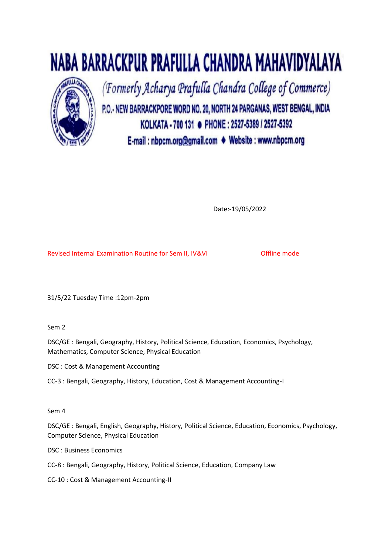



(Formerly Acharya Prafulla Chandra College of Commerce)

P.O.- NEW BARRACKPORE WORD NO. 20, NORTH 24 PARGANAS, WEST BENGAL, INDIA KOLKATA - 700 131 · PHONE: 2527-5389 / 2527-5392 E-mail : nbpcm.org@gmail.com ♦ Website : www.nbpcm.org

Date:-19/05/2022

Revised Internal Examination Routine for Sem II, IV&VI **Offline mode** 

31/5/22 Tuesday Time :12pm-2pm

Sem 2

DSC/GE : Bengali, Geography, History, Political Science, Education, Economics, Psychology, Mathematics, Computer Science, Physical Education

DSC : Cost & Management Accounting

CC-3 : Bengali, Geography, History, Education, Cost & Management Accounting-I

# Sem 4

DSC/GE : Bengali, English, Geography, History, Political Science, Education, Economics, Psychology, Computer Science, Physical Education

DSC : Business Economics

CC-8 : Bengali, Geography, History, Political Science, Education, Company Law

CC-10 : Cost & Management Accounting-II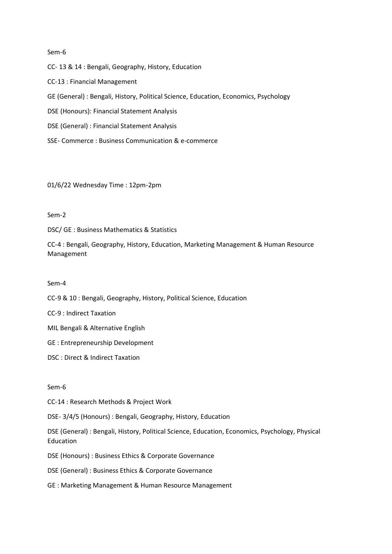### Sem-6

CC- 13 & 14 : Bengali, Geography, History, Education

CC-13 : Financial Management

GE (General) : Bengali, History, Political Science, Education, Economics, Psychology

DSE (Honours): Financial Statement Analysis

DSE (General) : Financial Statement Analysis

SSE- Commerce : Business Communication & e-commerce

01/6/22 Wednesday Time : 12pm-2pm

# Sem-2

DSC/ GE : Business Mathematics & Statistics

CC-4 : Bengali, Geography, History, Education, Marketing Management & Human Resource Management

#### Sem-4

CC-9 & 10 : Bengali, Geography, History, Political Science, Education

CC-9 : Indirect Taxation

MIL Bengali & Alternative English

GE : Entrepreneurship Development

DSC : Direct & Indirect Taxation

# Sem-6

CC-14 : Research Methods & Project Work

DSE- 3/4/5 (Honours) : Bengali, Geography, History, Education

DSE (General) : Bengali, History, Political Science, Education, Economics, Psychology, Physical Education

DSE (Honours) : Business Ethics & Corporate Governance

DSE (General) : Business Ethics & Corporate Governance

GE : Marketing Management & Human Resource Management